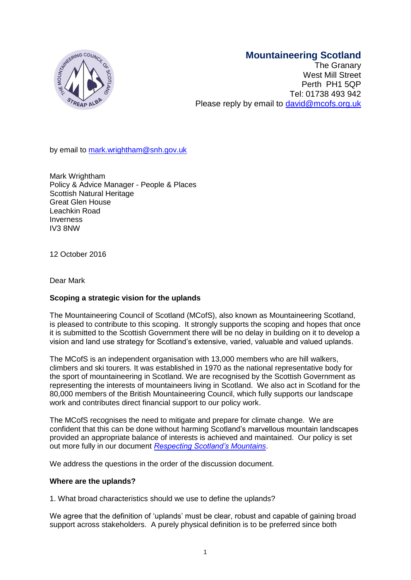# **Mountaineering Scotland**



The Granary West Mill Street Perth PH1 5QP Tel: 01738 493 942 Please reply by email to [david@mcofs.org.uk](mailto:david@mcofs.org.uk)

by email to [mark.wrightham@snh.gov.uk](CURRENT%20BACKUP%202014/FORMS%20LOGOS%20LABELS%20ETC/mark.wrightham@snh.gov.uk)

Mark Wrightham Policy & Advice Manager - People & Places Scottish Natural Heritage Great Glen House Leachkin Road Inverness IV3 8NW

12 October 2016

Dear Mark

# **Scoping a strategic vision for the uplands**

The Mountaineering Council of Scotland (MCofS), also known as Mountaineering Scotland, is pleased to contribute to this scoping. It strongly supports the scoping and hopes that once it is submitted to the Scottish Government there will be no delay in building on it to develop a vision and land use strategy for Scotland's extensive, varied, valuable and valued uplands.

The MCofS is an independent organisation with 13,000 members who are hill walkers, climbers and ski tourers. It was established in 1970 as the national representative body for the sport of mountaineering in Scotland. We are recognised by the Scottish Government as representing the interests of mountaineers living in Scotland. We also act in Scotland for the 80,000 members of the British Mountaineering Council, which fully supports our landscape work and contributes direct financial support to our policy work.

The MCofS recognises the need to mitigate and prepare for climate change. We are confident that this can be done without harming Scotland's marvellous mountain landscapes provided an appropriate balance of interests is achieved and maintained. Our policy is set out more fully in our document *[Respecting Scotland's](http://www.mcofs.org.uk/respectingscotlandsmountains.asp) Mountains*.

We address the questions in the order of the discussion document.

# **Where are the uplands?**

1. What broad characteristics should we use to define the uplands?

We agree that the definition of 'uplands' must be clear, robust and capable of gaining broad support across stakeholders. A purely physical definition is to be preferred since both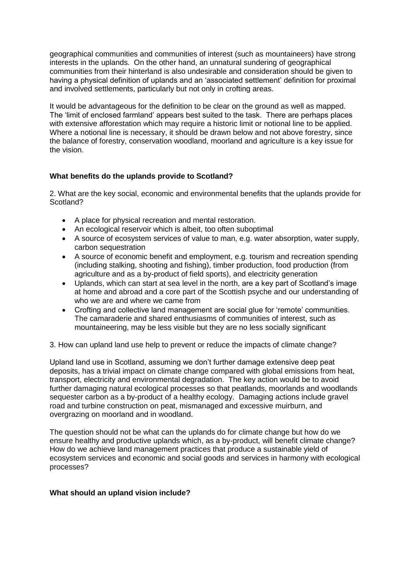geographical communities and communities of interest (such as mountaineers) have strong interests in the uplands. On the other hand, an unnatural sundering of geographical communities from their hinterland is also undesirable and consideration should be given to having a physical definition of uplands and an 'associated settlement' definition for proximal and involved settlements, particularly but not only in crofting areas.

It would be advantageous for the definition to be clear on the ground as well as mapped. The 'limit of enclosed farmland' appears best suited to the task. There are perhaps places with extensive afforestation which may require a historic limit or notional line to be applied. Where a notional line is necessary, it should be drawn below and not above forestry, since the balance of forestry, conservation woodland, moorland and agriculture is a key issue for the vision.

# **What benefits do the uplands provide to Scotland?**

2. What are the key social, economic and environmental benefits that the uplands provide for Scotland?

- A place for physical recreation and mental restoration.
- An ecological reservoir which is albeit, too often suboptimal
- A source of ecosystem services of value to man, e.g. water absorption, water supply, carbon sequestration
- A source of economic benefit and employment, e.g. tourism and recreation spending (including stalking, shooting and fishing), timber production, food production (from agriculture and as a by-product of field sports), and electricity generation
- Uplands, which can start at sea level in the north, are a key part of Scotland's image at home and abroad and a core part of the Scottish psyche and our understanding of who we are and where we came from
- Crofting and collective land management are social glue for 'remote' communities. The camaraderie and shared enthusiasms of communities of interest, such as mountaineering, may be less visible but they are no less socially significant

3. How can upland land use help to prevent or reduce the impacts of climate change?

Upland land use in Scotland, assuming we don't further damage extensive deep peat deposits, has a trivial impact on climate change compared with global emissions from heat, transport, electricity and environmental degradation. The key action would be to avoid further damaging natural ecological processes so that peatlands, moorlands and woodlands sequester carbon as a by-product of a healthy ecology. Damaging actions include gravel road and turbine construction on peat, mismanaged and excessive muirburn, and overgrazing on moorland and in woodland.

The question should not be what can the uplands do for climate change but how do we ensure healthy and productive uplands which, as a by-product, will benefit climate change? How do we achieve land management practices that produce a sustainable yield of ecosystem services and economic and social goods and services in harmony with ecological processes?

# **What should an upland vision include?**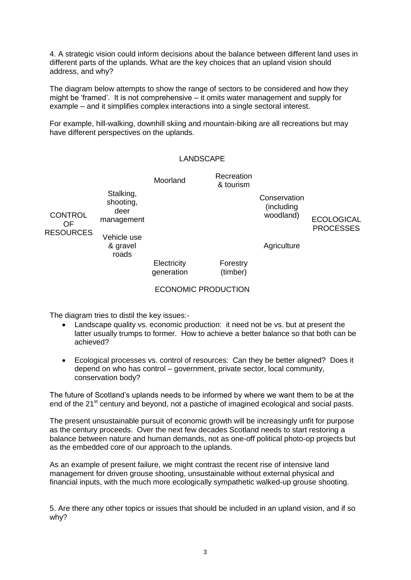4. A strategic vision could inform decisions about the balance between different land uses in different parts of the uplands. What are the key choices that an upland vision should address, and why?

The diagram below attempts to show the range of sectors to be considered and how they might be 'framed'. It is not comprehensive – it omits water management and supply for example – and it simplifies complex interactions into a single sectoral interest.

For example, hill-walking, downhill skiing and mountain-biking are all recreations but may have different perspectives on the uplands.

### LANDSCAPE

|                                                 |                                                                         | Moorland                   | Recreation<br>& tourism |                                                        |                                       |
|-------------------------------------------------|-------------------------------------------------------------------------|----------------------------|-------------------------|--------------------------------------------------------|---------------------------------------|
| <b>CONTROL</b><br><b>OF</b><br><b>RESOURCES</b> | Stalking,<br>shooting,<br>deer<br>management<br>Vehicle use<br>& gravel |                            |                         | Conservation<br>(including<br>woodland)<br>Agriculture | <b>ECOLOGICAL</b><br><b>PROCESSES</b> |
|                                                 | roads                                                                   |                            |                         |                                                        |                                       |
|                                                 |                                                                         | Electricity<br>generation  | Forestry<br>(timber)    |                                                        |                                       |
|                                                 |                                                                         | <b>ECONOMIC PRODUCTION</b> |                         |                                                        |                                       |

The diagram tries to distil the key issues:-

- Landscape quality vs. economic production: it need not be vs. but at present the latter usually trumps to former. How to achieve a better balance so that both can be achieved?
- Ecological processes vs. control of resources: Can they be better aligned? Does it depend on who has control – government, private sector, local community, conservation body?

The future of Scotland's uplands needs to be informed by where we want them to be at the end of the 21<sup>st</sup> century and beyond, not a pastiche of imagined ecological and social pasts.

The present unsustainable pursuit of economic growth will be increasingly unfit for purpose as the century proceeds. Over the next few decades Scotland needs to start restoring a balance between nature and human demands, not as one-off political photo-op projects but as the embedded core of our approach to the uplands.

As an example of present failure, we might contrast the recent rise of intensive land management for driven grouse shooting, unsustainable without external physical and financial inputs, with the much more ecologically sympathetic walked-up grouse shooting.

5. Are there any other topics or issues that should be included in an upland vision, and if so why?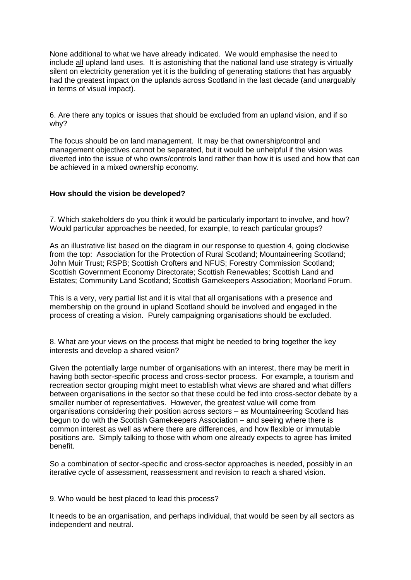None additional to what we have already indicated. We would emphasise the need to include all upland land uses. It is astonishing that the national land use strategy is virtually silent on electricity generation yet it is the building of generating stations that has arguably had the greatest impact on the uplands across Scotland in the last decade (and unarguably in terms of visual impact).

6. Are there any topics or issues that should be excluded from an upland vision, and if so why?

The focus should be on land management. It may be that ownership/control and management objectives cannot be separated, but it would be unhelpful if the vision was diverted into the issue of who owns/controls land rather than how it is used and how that can be achieved in a mixed ownership economy.

### **How should the vision be developed?**

7. Which stakeholders do you think it would be particularly important to involve, and how? Would particular approaches be needed, for example, to reach particular groups?

As an illustrative list based on the diagram in our response to question 4, going clockwise from the top: Association for the Protection of Rural Scotland; Mountaineering Scotland; John Muir Trust; RSPB; Scottish Crofters and NFUS; Forestry Commission Scotland; Scottish Government Economy Directorate; Scottish Renewables; Scottish Land and Estates; Community Land Scotland; Scottish Gamekeepers Association; Moorland Forum.

This is a very, very partial list and it is vital that all organisations with a presence and membership on the ground in upland Scotland should be involved and engaged in the process of creating a vision. Purely campaigning organisations should be excluded.

8. What are your views on the process that might be needed to bring together the key interests and develop a shared vision?

Given the potentially large number of organisations with an interest, there may be merit in having both sector-specific process and cross-sector process. For example, a tourism and recreation sector grouping might meet to establish what views are shared and what differs between organisations in the sector so that these could be fed into cross-sector debate by a smaller number of representatives. However, the greatest value will come from organisations considering their position across sectors – as Mountaineering Scotland has begun to do with the Scottish Gamekeepers Association – and seeing where there is common interest as well as where there are differences, and how flexible or immutable positions are. Simply talking to those with whom one already expects to agree has limited benefit.

So a combination of sector-specific and cross-sector approaches is needed, possibly in an iterative cycle of assessment, reassessment and revision to reach a shared vision.

9. Who would be best placed to lead this process?

It needs to be an organisation, and perhaps individual, that would be seen by all sectors as independent and neutral.